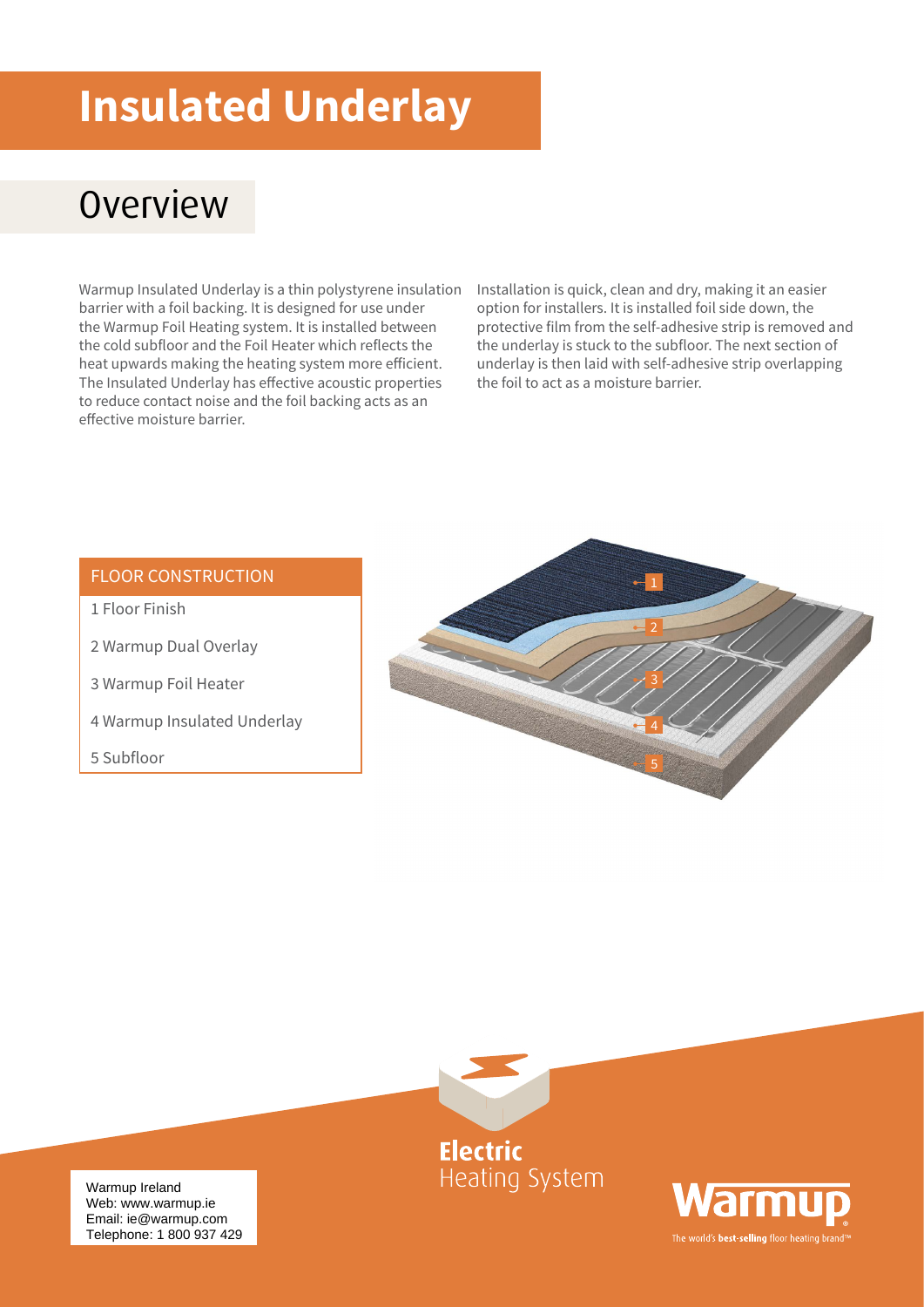# **Insulated Underlay**

### **Overview**

Warmup Insulated Underlay is a thin polystyrene insulation barrier with a foil backing. It is designed for use under the Warmup Foil Heating system. It is installed between the cold subfloor and the Foil Heater which reflects the heat upwards making the heating system more efficient. The Insulated Underlay has effective acoustic properties to reduce contact noise and the foil backing acts as an effective moisture barrier.

Installation is quick, clean and dry, making it an easier option for installers. It is installed foil side down, the protective film from the self-adhesive strip is removed and the underlay is stuck to the subfloor. The next section of underlay is then laid with self-adhesive strip overlapping the foil to act as a moisture barrier.

#### FLOOR CONSTRUCTION

- 1 Floor Finish
- 2 Warmup Dual Overlay
- 3 Warmup Foil Heater
- 4 Warmup Insulated Underlay
- 5 Subfloor







Warmup Ireland web. www.warmup.rom Telephone: 1 800 937 429 Web: www.warmup.ie